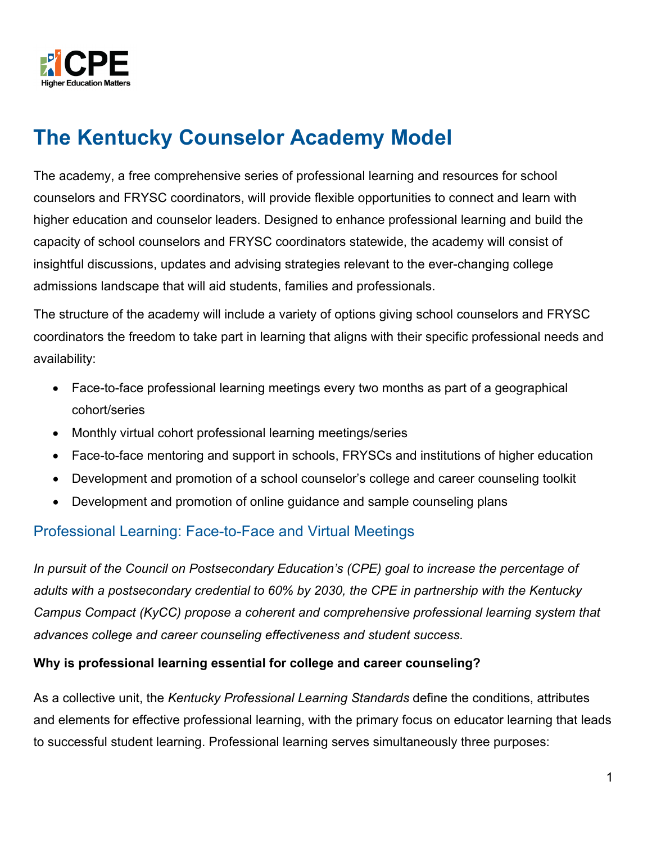

# **The Kentucky Counselor Academy Model**

The academy, a free comprehensive series of professional learning and resources for school counselors and FRYSC coordinators, will provide flexible opportunities to connect and learn with higher education and counselor leaders. Designed to enhance professional learning and build the capacity of school counselors and FRYSC coordinators statewide, the academy will consist of insightful discussions, updates and advising strategies relevant to the ever-changing college admissions landscape that will aid students, families and professionals.

The structure of the academy will include a variety of options giving school counselors and FRYSC coordinators the freedom to take part in learning that aligns with their specific professional needs and availability:

- Face-to-face professional learning meetings every two months as part of a geographical cohort/series
- Monthly virtual cohort professional learning meetings/series
- Face-to-face mentoring and support in schools, FRYSCs and institutions of higher education
- Development and promotion of a school counselor's college and career counseling toolkit
- Development and promotion of online guidance and sample counseling plans

#### Professional Learning: Face-to-Face and Virtual Meetings

*In pursuit of the Council on Postsecondary Education's (CPE) goal to increase the percentage of adults with a postsecondary credential to 60% by 2030, the CPE in partnership with the Kentucky Campus Compact (KyCC) propose a coherent and comprehensive professional learning system that advances college and career counseling effectiveness and student success.* 

#### **Why is professional learning essential for college and career counseling?**

As a collective unit, the *Kentucky Professional Learning Standards* define the conditions, attributes and elements for effective professional learning, with the primary focus on educator learning that leads to successful student learning. Professional learning serves simultaneously three purposes: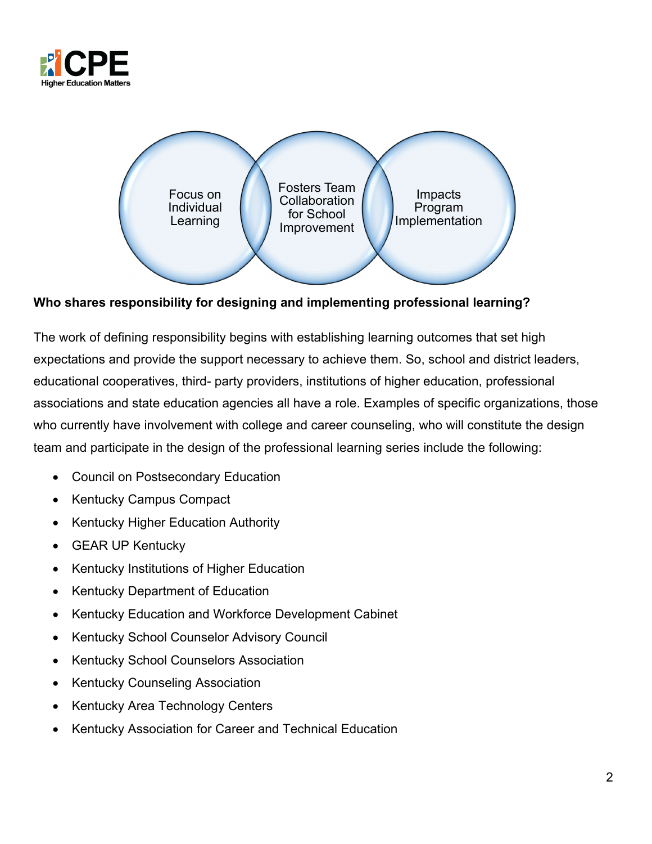



**Who shares responsibility for designing and implementing professional learning?**

The work of defining responsibility begins with establishing learning outcomes that set high expectations and provide the support necessary to achieve them. So, school and district leaders, educational cooperatives, third- party providers, institutions of higher education, professional associations and state education agencies all have a role. Examples of specific organizations, those who currently have involvement with college and career counseling, who will constitute the design team and participate in the design of the professional learning series include the following:

- Council on Postsecondary Education
- Kentucky Campus Compact
- Kentucky Higher Education Authority
- GEAR UP Kentucky
- Kentucky Institutions of Higher Education
- Kentucky Department of Education
- Kentucky Education and Workforce Development Cabinet
- Kentucky School Counselor Advisory Council
- Kentucky School Counselors Association
- Kentucky Counseling Association
- Kentucky Area Technology Centers
- Kentucky Association for Career and Technical Education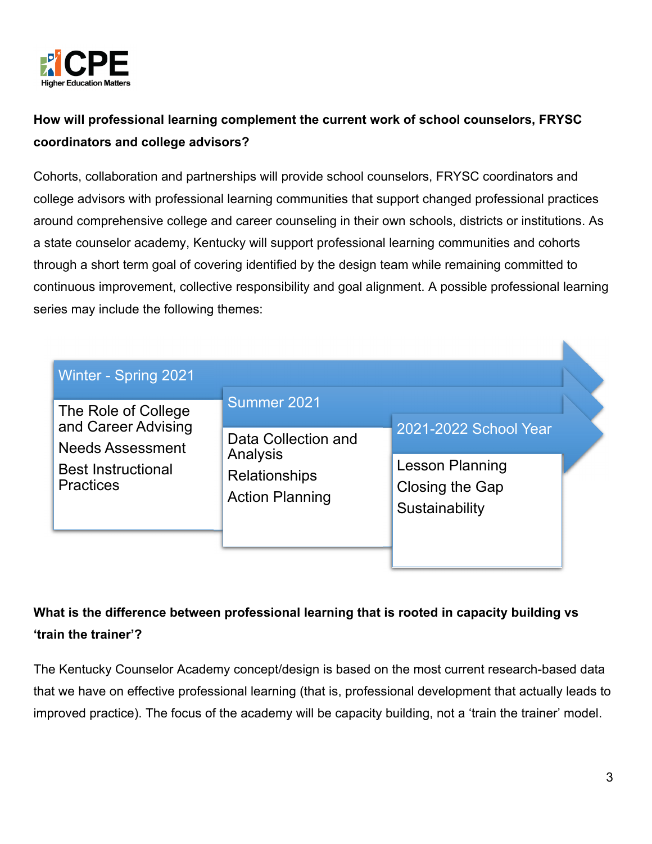

# **How will professional learning complement the current work of school counselors, FRYSC coordinators and college advisors?**

Cohorts, collaboration and partnerships will provide school counselors, FRYSC coordinators and college advisors with professional learning communities that support changed professional practices around comprehensive college and career counseling in their own schools, districts or institutions. As a state counselor academy, Kentucky will support professional learning communities and cohorts through a short term goal of covering identified by the design team while remaining committed to continuous improvement, collective responsibility and goal alignment. A possible professional learning series may include the following themes:

| Winter - Spring 2021                                                                                                   |                                                                                           |                                                                                      |  |
|------------------------------------------------------------------------------------------------------------------------|-------------------------------------------------------------------------------------------|--------------------------------------------------------------------------------------|--|
| The Role of College<br>and Career Advising<br><b>Needs Assessment</b><br><b>Best Instructional</b><br><b>Practices</b> | Summer 2021<br>Data Collection and<br>Analysis<br>Relationships<br><b>Action Planning</b> | 2021-2022 School Year<br><b>Lesson Planning</b><br>Closing the Gap<br>Sustainability |  |

## **What is the difference between professional learning that is rooted in capacity building vs 'train the trainer'?**

The Kentucky Counselor Academy concept/design is based on the most current research-based data that we have on effective professional learning (that is, professional development that actually leads to improved practice). The focus of the academy will be capacity building, not a 'train the trainer' model.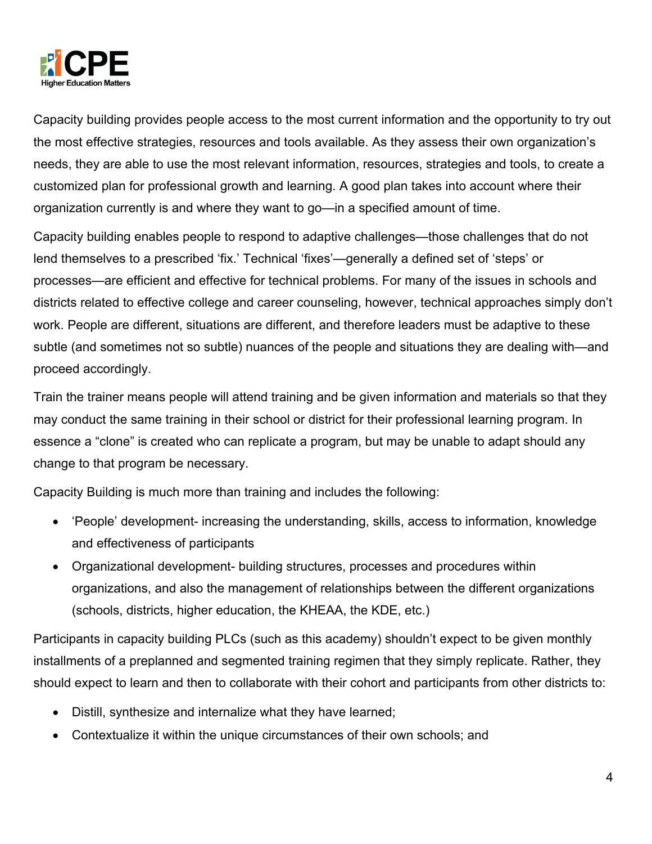

Capacity building provides people access to the most current information and the opportunity to try out the most effective strategies, resources and tools available. As they assess their own organization's needs, they are able to use the most relevant information, resources, strategies and tools, to create a customized plan for professional growth and learning. A good plan takes into account where their organization currently is and where they want to go—in a specified amount of time.

Capacity building enables people to respond to adaptive challenges—those challenges that do not lend themselves to a prescribed 'fix.' Technical 'fixes'—generally a defined set of 'steps' or processes—are efficient and effective for technical problems. For many of the issues in schools and districts related to effective college and career counseling, however, technical approaches simply don't work. People are different, situations are different, and therefore leaders must be adaptive to these subtle (and sometimes not so subtle) nuances of the people and situations they are dealing with—and proceed accordingly.

Train the trainer means people will attend training and be given information and materials so that they may conduct the same training in their school or district for their professional learning program. In essence a "clone" is created who can replicate a program, but may be unable to adapt should any change to that program be necessary.

Capacity Building is much more than training and includes the following:

- 'People' development- increasing the understanding, skills, access to information, knowledge and effectiveness of participants
- Organizational development- building structures, processes and procedures within organizations, and also the management of relationships between the different organizations (schools, districts, higher education, the KHEAA, the KDE, etc.)

Participants in capacity building PLCs (such as this academy) shouldn't expect to be given monthly installments of a preplanned and segmented training regimen that they simply replicate. Rather, they should expect to learn and then to collaborate with their cohort and participants from other districts to:

- Distill, synthesize and internalize what they have learned;
- Contextualize it within the unique circumstances of their own schools; and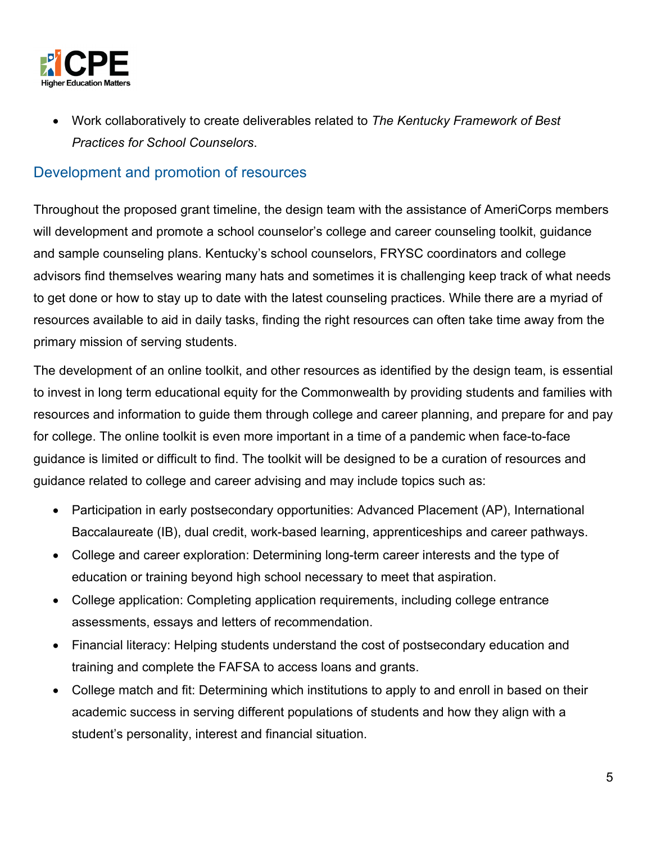

 Work collaboratively to create deliverables related to *The Kentucky Framework of Best Practices for School Counselors*.

### Development and promotion of resources

Throughout the proposed grant timeline, the design team with the assistance of AmeriCorps members will development and promote a school counselor's college and career counseling toolkit, guidance and sample counseling plans. Kentucky's school counselors, FRYSC coordinators and college advisors find themselves wearing many hats and sometimes it is challenging keep track of what needs to get done or how to stay up to date with the latest counseling practices. While there are a myriad of resources available to aid in daily tasks, finding the right resources can often take time away from the primary mission of serving students.

The development of an online toolkit, and other resources as identified by the design team, is essential to invest in long term educational equity for the Commonwealth by providing students and families with resources and information to guide them through college and career planning, and prepare for and pay for college. The online toolkit is even more important in a time of a pandemic when face-to-face guidance is limited or difficult to find. The toolkit will be designed to be a curation of resources and guidance related to college and career advising and may include topics such as:

- Participation in early postsecondary opportunities: Advanced Placement (AP), International Baccalaureate (IB), dual credit, work-based learning, apprenticeships and career pathways.
- College and career exploration: Determining long-term career interests and the type of education or training beyond high school necessary to meet that aspiration.
- College application: Completing application requirements, including college entrance assessments, essays and letters of recommendation.
- Financial literacy: Helping students understand the cost of postsecondary education and training and complete the FAFSA to access loans and grants.
- College match and fit: Determining which institutions to apply to and enroll in based on their academic success in serving different populations of students and how they align with a student's personality, interest and financial situation.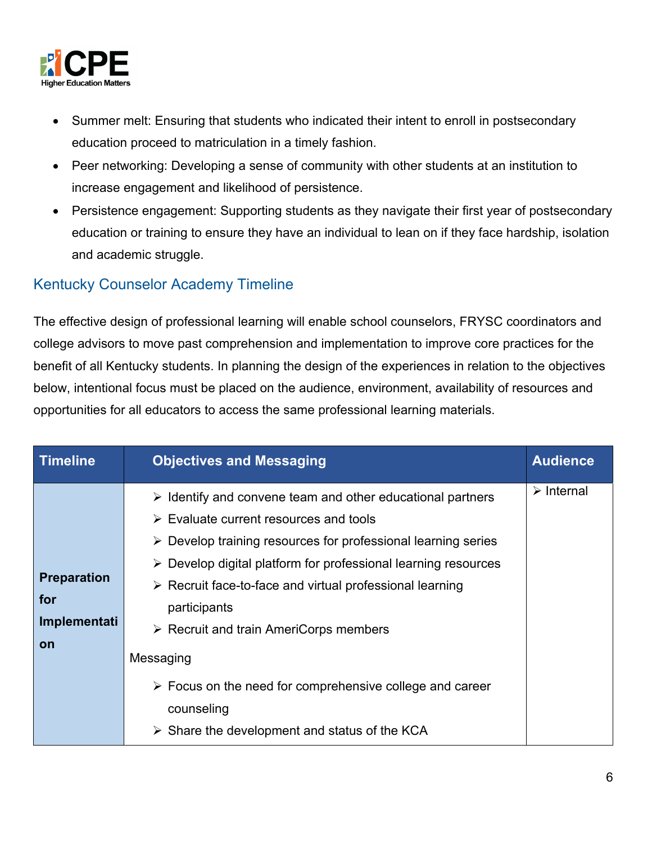

- Summer melt: Ensuring that students who indicated their intent to enroll in postsecondary education proceed to matriculation in a timely fashion.
- Peer networking: Developing a sense of community with other students at an institution to increase engagement and likelihood of persistence.
- Persistence engagement: Supporting students as they navigate their first year of postsecondary education or training to ensure they have an individual to lean on if they face hardship, isolation and academic struggle.

### Kentucky Counselor Academy Timeline

The effective design of professional learning will enable school counselors, FRYSC coordinators and college advisors to move past comprehension and implementation to improve core practices for the benefit of all Kentucky students. In planning the design of the experiences in relation to the objectives below, intentional focus must be placed on the audience, environment, availability of resources and opportunities for all educators to access the same professional learning materials.

| Timeline                                               | <b>Objectives and Messaging</b>                                                                                                                                                                                                                                                                                                                                                                                                                                                                                                                                                                                | <b>Audience</b>           |
|--------------------------------------------------------|----------------------------------------------------------------------------------------------------------------------------------------------------------------------------------------------------------------------------------------------------------------------------------------------------------------------------------------------------------------------------------------------------------------------------------------------------------------------------------------------------------------------------------------------------------------------------------------------------------------|---------------------------|
| <b>Preparation</b><br>for<br>Implementati<br><b>on</b> | $\triangleright$ Identify and convene team and other educational partners<br>$\triangleright$ Evaluate current resources and tools<br>> Develop training resources for professional learning series<br>$\triangleright$ Develop digital platform for professional learning resources<br>$\triangleright$ Recruit face-to-face and virtual professional learning<br>participants<br>$\triangleright$ Recruit and train AmeriCorps members<br>Messaging<br>$\triangleright$ Focus on the need for comprehensive college and career<br>counseling<br>$\triangleright$ Share the development and status of the KCA | $\triangleright$ Internal |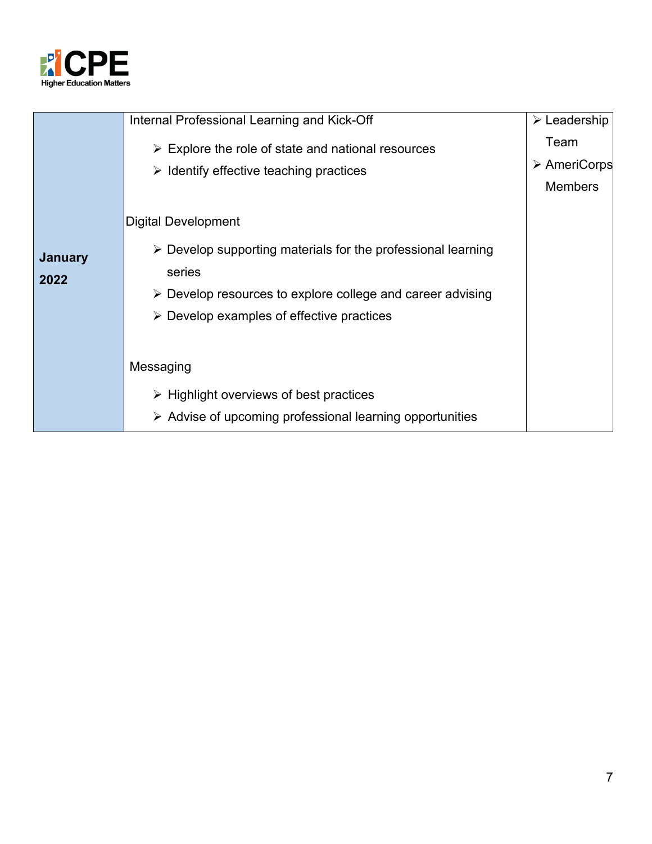

|                        | Internal Professional Learning and Kick-Off                                                                                                                                                                                    | $\triangleright$ Leadership                           |
|------------------------|--------------------------------------------------------------------------------------------------------------------------------------------------------------------------------------------------------------------------------|-------------------------------------------------------|
|                        | $\triangleright$ Explore the role of state and national resources<br>$\triangleright$ Identify effective teaching practices                                                                                                    | Team<br>$\triangleright$ AmeriCorps<br><b>Members</b> |
|                        | <b>Digital Development</b>                                                                                                                                                                                                     |                                                       |
| <b>January</b><br>2022 | $\triangleright$ Develop supporting materials for the professional learning<br>series<br>$\triangleright$ Develop resources to explore college and career advising<br>$\triangleright$ Develop examples of effective practices |                                                       |
|                        | Messaging                                                                                                                                                                                                                      |                                                       |
|                        | $\triangleright$ Highlight overviews of best practices                                                                                                                                                                         |                                                       |
|                        | $\triangleright$ Advise of upcoming professional learning opportunities                                                                                                                                                        |                                                       |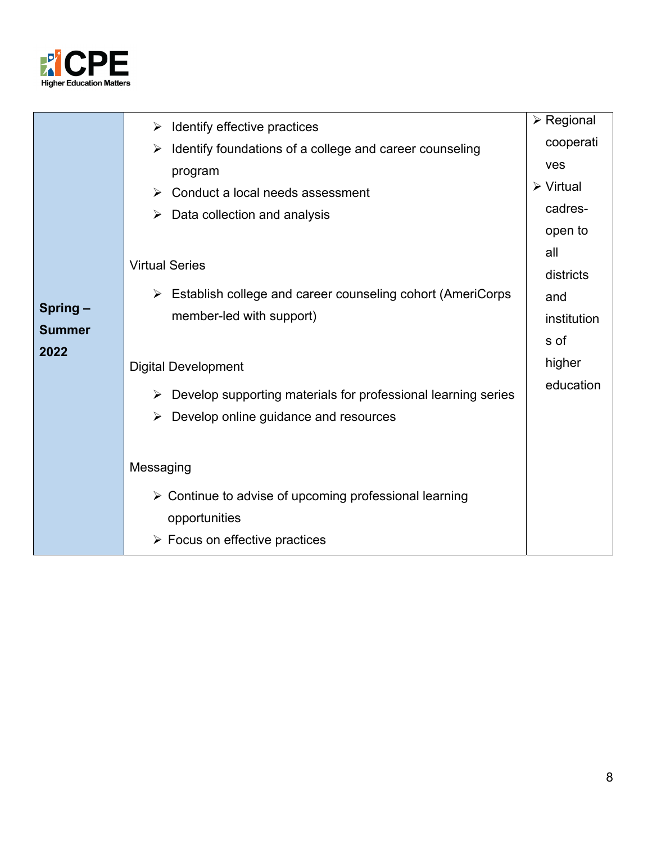

|               | Identify effective practices<br>$\blacktriangleright$                          | $\triangleright$ Regional |
|---------------|--------------------------------------------------------------------------------|---------------------------|
|               | Identify foundations of a college and career counseling<br>➤                   | cooperati                 |
|               | program                                                                        | ves                       |
|               | $\triangleright$ Conduct a local needs assessment                              | $\triangleright$ Virtual  |
|               | Data collection and analysis<br>➤                                              | cadres-                   |
|               |                                                                                | open to                   |
|               |                                                                                | all                       |
|               | <b>Virtual Series</b>                                                          | districts                 |
|               | $\triangleright$ Establish college and career counseling cohort (AmeriCorps    | and                       |
| Spring-       | member-led with support)                                                       | institution               |
| <b>Summer</b> |                                                                                | s of                      |
| 2022          | <b>Digital Development</b>                                                     | higher                    |
|               | $\triangleright$ Develop supporting materials for professional learning series | education                 |
|               | Develop online guidance and resources<br>➤                                     |                           |
|               |                                                                                |                           |
|               | Messaging                                                                      |                           |
|               |                                                                                |                           |
|               | $\triangleright$ Continue to advise of upcoming professional learning          |                           |
|               | opportunities                                                                  |                           |
|               | $\triangleright$ Focus on effective practices                                  |                           |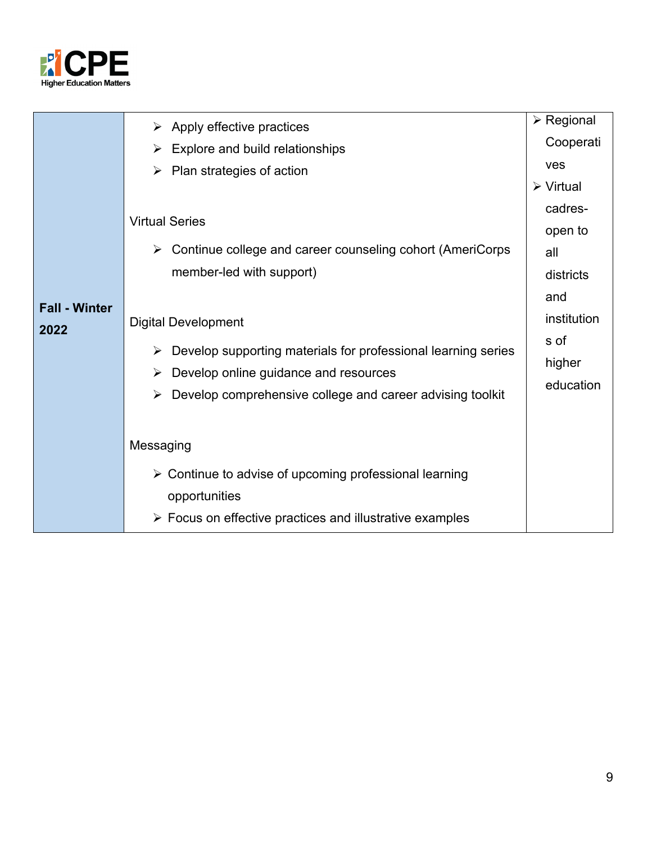

|                      | $\triangleright$ Apply effective practices                                     | $\triangleright$ Regional |
|----------------------|--------------------------------------------------------------------------------|---------------------------|
|                      | $\triangleright$ Explore and build relationships                               | Cooperati                 |
|                      | $\triangleright$ Plan strategies of action                                     | <b>ves</b>                |
|                      |                                                                                | $\triangleright$ Virtual  |
|                      |                                                                                | cadres-                   |
|                      | <b>Virtual Series</b>                                                          | open to                   |
|                      | $\triangleright$ Continue college and career counseling cohort (AmeriCorps     | all                       |
|                      | member-led with support)                                                       | districts                 |
|                      |                                                                                | and                       |
| <b>Fall - Winter</b> | <b>Digital Development</b>                                                     | institution               |
| 2022                 | $\triangleright$ Develop supporting materials for professional learning series | s of                      |
|                      | $\triangleright$ Develop online guidance and resources                         | higher                    |
|                      |                                                                                | education                 |
|                      | Develop comprehensive college and career advising toolkit<br>➤                 |                           |
|                      |                                                                                |                           |
|                      | Messaging                                                                      |                           |
|                      | $\triangleright$ Continue to advise of upcoming professional learning          |                           |
|                      | opportunities                                                                  |                           |
|                      | $\triangleright$ Focus on effective practices and illustrative examples        |                           |
|                      |                                                                                |                           |